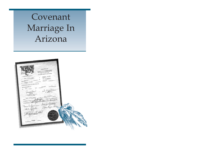# Covenant Marriage In Arizona

| AF                                                                                                                            | Control of Marangia                                                                                                                                                                                                       |  |
|-------------------------------------------------------------------------------------------------------------------------------|---------------------------------------------------------------------------------------------------------------------------------------------------------------------------------------------------------------------------|--|
| State of<br>Arizona                                                                                                           | In any State boundedness to denote the functions, 20 Judge and Control . Count of Fourier at $\mu$ and $\mu$ is a bounded at the state of a street.<br>Not are larging published to join in marrow;<br>PROEDULY, ANTIQUEL |  |
| <b>CARDIO PRODUCTS DAMES</b><br>Quali -<br>PRODUCE. SALESMA<br>and notify the same and scheme to find other according to late | а<br>THAT OR ELEMENTS<br>шł<br><b>NARTICUPA</b><br>Cov <sub>4</sub>                                                                                                                                                       |  |
| Witness any laugh and officed out<br>LYES<br>eo.                                                                              | any.<br>$4m$ of<br>R. MARTIN 002                                                                                                                                                                                          |  |
| <b>John Alex</b><br>Gest of the reporter Convention four of teams<br><b>CARLES FRANCIS DAN</b>                                | THE OR BLEN<br>triens, according in the binard                                                                                                                                                                            |  |
| we mid a room to<br>the fearest Artura, by                                                                                    |                                                                                                                                                                                                                           |  |
|                                                                                                                               | saca<br>industry Country                                                                                                                                                                                                  |  |
| 110426<br>terre futbr                                                                                                         |                                                                                                                                                                                                                           |  |
|                                                                                                                               |                                                                                                                                                                                                                           |  |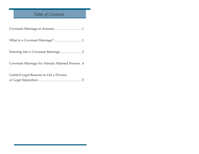# *Table of Contents*

| Covenant Marriage for Already Married Persons 4 |
|-------------------------------------------------|
| Limited Legal Reasons to Get a Divorce          |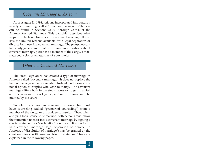# *Covenant Marriage in Arizona*

As of August 21, 1998, Arizona incorporated into statute a new type of marriage called "covenant marriage." (The law can be found in Sections 25-901 through 25-906 of the Arizona Revised Statutes.) This pamphlet describes what steps must be taken to enter into a covenant marriage. It also lists the limited reasons available for a legal separation or divorce for those in a covenant marriage. The pamphlet contains only general information. If you have questions about covenant marriage, please ask a member of the clergy, a marriage counselor or an attorney of your choice.

# *What is a Covenant Marriage?*

The State Legislature has created a type of marriage in Arizona called "covenant marriage." It does not replace the kind of marriage already available. Instead it offers an additional option to couples who wish to marry. The covenant marriage differs both in the steps necessary to get married and the reasons why a legal separation or divorce may be granted by the court.

To enter into a covenant marriage, the couple first must have counseling (called "premarital counseling") from a member of the clergy or a marriage counselor. Then, when applying for a license to be married, both persons must show their intention to enter into a covenant marriage by signing a special statement (or "declaration") on the application form. In a covenant marriage, legal separation or divorce (in Arizona, a "dissolution of marriage") may be granted by the court only for specific reasons listed in state law. These are explained in the following pages.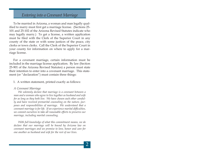### *Entering into a Covenant Marriage*

To be married in Arizona, a woman and man legally qualified to marry must first get a marriage license. (Sections 25- 101 and 25-102 of the Arizona Revised Statutes indicate who may legally marry.) To get a license, a written application must be filed with the Clerk of the Superior Court in any county of the state or with some justices of the peace, city clerks or town clerks. Call the Clerk of the Superior Court in your county for information on where to apply for a marriage license.

For a covenant marriage, certain information must be included in the marriage license application. By law (Section 25-901 of the Arizona Revised Statutes) a person must state their intention to enter into a covenant marriage. This statement (or "declaration") must contain three things:

1. A written statement, printed exactly as follows:

#### *A Covenant Marriage*

*We solemnly declare that marriage is a covenant between a man and a woman who agree to live together as husband and wife for as long as they both live. We have chosen each other carefully and have received premarital counseling on the nature, purposes and responsibilities of marriage. We understand that a covenant marriage is for life. If we experience marital difficulties, we commit ourselves to take all reasonable efforts to preserve our marriage, including marital counseling.* 

*With full knowledge of what this commitment means, we do declare that our marriage will be bound by Arizona law on covenant marriages and we promise to love, honor and care for one another as husband and wife for the rest of our lives.*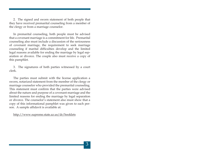2. The signed and sworn statement of both people that they have received premarital counseling from a member of the clergy or from a marriage counselor.

In premarital counseling, both people must be advised that a covenant marriage is a commitment for life. Premarital counseling also must include a discussion of the seriousness of covenant marriage, the requirement to seek marriage counseling if marital difficulties develop and the limited legal reasons available for ending the marriage by legal separation or divorce. The couple also must receive a copy of this pamphlet.

3. The signatures of both parties witnessed by a court clerk.

The parties must submit with the license application a sworn, notarized statement from the member of the clergy or marriage counselor who provided the premarital counseling. This statement must confirm that the parties were advised about the nature and purpose of a covenant marriage and the limited reasons for ending the marriage by legal separation or divorce. The counselor's statement also must show that a copy of this informational pamphlet was given to each person. A sample affidavit is available at:

http://www.supreme.state.az.us/dr/booklets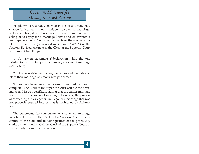# *Covenant Marriage for Already Married Persons*

People who are already married in this or any state may change (or "convert") their marriage to a covenant marriage. In this situation, it is not necessary to have premarital counseling or to apply for a marriage license and go through a marriage ceremony. To convert a marriage, the married couple must pay a fee (prescribed in Section 12-284(A) of the Arizona Revised statutes) to the Clerk of the Superior Court and present two things:

1. A written statement ("declaration") like the one printed for unmarried persons seeking a covenant marriage (see Page 2).

2. A sworn statement listing the names and the date and place their marriage ceremony was performed.

Some courts have preprinted forms for married couples to complete. The Clerk of the Superior Court will file the documents and issue a certificate stating that the earlier marriage is converted to a covenant marriage. However, the process of converting a marriage will not legalize a marriage that was not properly entered into or that is prohibited by Arizona law.

The statements for conversion to a covenant marriage may be submitted to the Clerk of the Superior Court in any county of the state and to some justices of the peace, city clerks or town clerks. Call the Clerk of the Superior Court in your county for more information.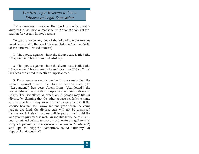## *Limited Legal Reasons to Get a Divorce or Legal Separation*

For a covenant marriage, the court can only grant a divorce ("dissolution of marriage" in Arizona) or a legal separation for certain, limited reasons.

To get a divorce, any one of the following eight reasons must be proved to the court (these are listed in Section 25-903 of the Arizona Revised Statutes):

1. The spouse against whom the divorce case is filed (the "Respondent") has committed adultery.

2. The spouse against whom the divorce case is filed (the "Respondent") has committed a serious crime ("felony") and has been sentenced to death or imprisonment.

3. For at least one year before the divorce case is filed, the spouse against whom the divorce case is filed (the "Respondent") has been absent from ("abandoned") the home where the married couple resided and refuses to return. The law allows an exception. A person may file for divorce by claiming that the other spouse has left the home and is expected to stay away for the one-year period. If the spouse has not been away for one year when the court papers are filed, the divorce case will not be dismissed by the court. Instead the case will be put on hold until the one-year requirement is met. During this time, the court still may grant and enforce temporary orders for things like child support, parenting time (formerly known as "visitation") and spousal support (sometimes called "alimony" or "spousal maintenance").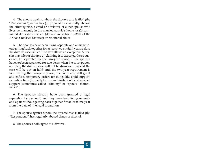4. The spouse against whom the divorce case is filed (the "Respondent") either has (1) physically or sexually abused the other spouse, a child or a relative of either spouse who lives permanently in the married couple's home, or (2) committed domestic violence (defined in Section 13-3601 of the Arizona Revised Statutes) or emotional abuse.

5. The spouses have been living separate and apart without getting back together for at least two straight years before the divorce case is filed. The law allows an exception. A person may file for divorce by claiming it is expected the spouses will be separated for the two-year period. If the spouses have not been separated for two years when the court papers are filed, the divorce case will not be dismissed. Instead the case will be put on hold until the two-year requirement is met. During the two-year period, the court may still grant and enforce temporary orders for things like child support, parenting time (formerly known as "visitation") and spousal support (sometimes called "alimony" or "spousal maintenance").

6. The spouses already have been granted a legal separation by the court, and they have been living separate and apart without getting back together for at least one year from the date of the legal separation.

7. The spouse against whom the divorce case is filed (the "Respondent") has regularly abused drugs or alcohol.

8. The spouses both agree to a divorce.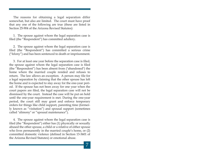The reasons for obtaining a legal separation differ somewhat, but also are limited. The court must have proof that any one of the following are true (these are listed in Section 25-904 of the Arizona Revised Statutes):

1. The spouse against whom the legal separation case is filed (the "Respondent") has committed adultery.

2. The spouse against whom the legal separation case is filed (the "Respondent") has committed a serious crime ("felony") and has been sentenced to death or imprisonment.

3. For at least one year before the separation case is filed, the spouse against whom the legal separation case is filed (the "Respondent") has been absent from ("abandoned") the home where the married couple resided and refuses to return. The law allows an exception. A person may file for a legal separation by claiming that the other spouse has left the home and is expected to stay away for the one-year period. If the spouse has not been away for one year when the court papers are filed, the legal separation case will not be dismissed by the court. Instead the case will be put on hold until the one-year requirement is met. During the one-year period, the court still may grant and enforce temporary orders for things like child support, parenting time (formerly known as "visitation") and spousal support (sometimes called "alimony" or "spousal maintenance").

4. The spouse against whom the legal separation case is filed (the "Respondent") either has (1) physically or sexually abused the other spouse, a child or a relative of either spouse who lives permanently in the married couple's home, or (2) committed domestic violence (defined in Section 13-3601 of the Arizona Revised Statutes) or emotional abuse.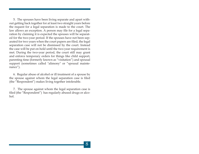5. The spouses have been living separate and apart without getting back together for at least two straight years before the request for a legal separation is made to the court. The law allows an exception. A person may file for a legal separation by claiming it is expected the spouses will be separated for the two-year period. If the spouses have not been separated for two years when the court papers are filed, the legal separation case will not be dismissed by the court. Instead the case will be put on hold until the two-year requirement is met. During the two-year period, the court still may grant and enforce temporary orders for things like child support, parenting time (formerly known as "visitation") and spousal support (sometimes called "alimony" or "spousal maintenance").

6. Regular abuse of alcohol or ill treatment of a spouse by the spouse against whom the legal separation case is filed (the "Respondent") makes living together intolerable.

7. The spouse against whom the legal separation case is filed (the "Respondent") has regularly abused drugs or alcohol.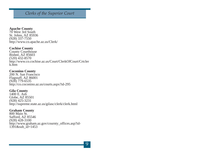### **Apache County**

70 West 3rd South St. Johns, AZ 85936 (928) 337-7550 http://www.co.apache.az.us/Clerk/

### **Cochise County**

County Courthouse Bisbee, AZ 85603 (520) 432-8570 http://www.co.cochise.az.us/Court/ClerkOfCourt/Crtcler k.htm

#### **Coconino County**

200 N. San Francisco Flagstaff, AZ 86001 (928) 779-6535 http://co.coconino.az.us/courts.aspx?id-295

#### **Gila County**

1400 E. Ash Globe, AZ 85501 (928) 425-3231 http://supreme.state.az.us/gilasc/clerk/clerk.html

#### **Graham County**

800 Main St. Safford, AZ 85546 (928) 428-3100 http://www.graham.az.gov/cournty\_offices.asp?id-1391&sub\_id=1453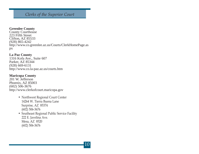### **Greenlee County**

County Courthouse 223 Fifth Street Clifton, AZ 85533 (928) 865-4242 http://www.co.greenlee.az.us/Courts/ClerkHomePage.as px

### **La Paz County**

1316 Kofa Ave., Suite 607 Parker, AZ 85344 (928) 669-6131 http://www.co.la-paz.az.us/courts.htm

### **Maricopa County**

201 W. Jefferson Phoenix, AZ 85003 (602) 506-3676 http://www.clerkofcourt.maricopa.gov

- Northwest Regional Court Center 14264 W. Tierra Buena Lane Surprise, AZ 85374 (602) 506-3676
- Southeast Regional Public Service Facility 222 E. Javelina Ave. Mesa, AZ 8520 (602) 506-3676

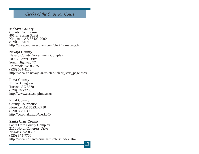### **Mohave County**

County Courthouse 401 E. Spring Street Kingman, AZ 86402-7000 (928) 753-0713 http://www.mohavecourts.com/clerk/homepage.htm

### **Navajo County**

Navajo County Government Complex 100 E. Carter Drive South Highway 77 Holbrook, AZ 86025 (928) 524-4188 http://www.co.navajo.az.us/clerk/clerk\_start\_page.aspx

### **Pima County**

110 W. Congress Tucson, AZ 85701 (520) 740-3200 http://www.cosc.co.pima.az.us

### **Pinal County**

County Courthouse Florence, AZ 85232-2730 (520) 868-5300 http://co.pinal.az.us/ClerkSC/

### **Santa Cruz County**

Santa Cruz County Complex 2150 North Congress Drive Nogales, AZ 85621 (520) 375-7700 http://www.co.santa-cruz.az.us/clerk/index.html

11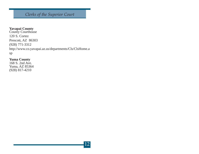### **Yavapai County**

County Courthouse 120 S. Cortez Prescott, AZ 86303 (928) 771-3312 http://www.co.yavapai.az.us/departments/Cls/ClsHome.a sp

### **Yuma County**

168 S. 2nd Ave. Yuma, AZ 85364 (928) 817-4210